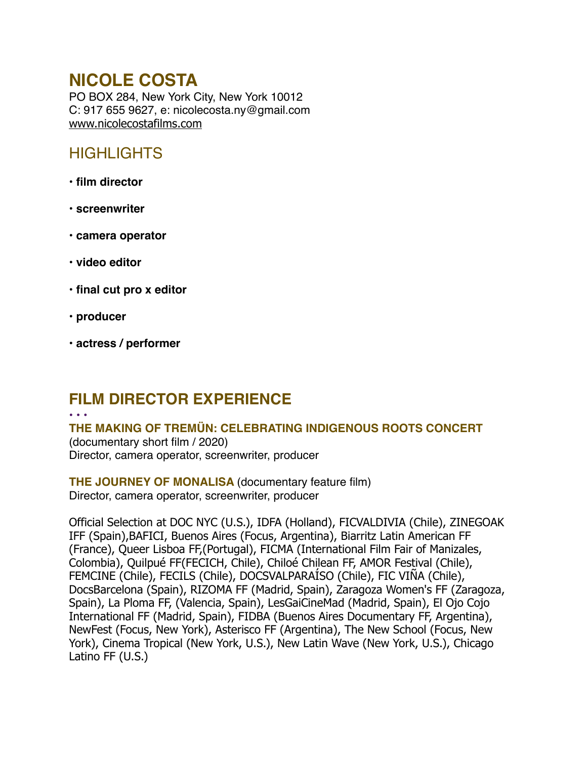# **NICOLE COSTA**

PO BOX 284, New York City, New York 10012 C: 917 655 9627, e: nicolecosta.ny@gmail.com [www.nicolecostafilms.com](http://www.nicolecostafilms.com)

## **HIGHLIGHTS**

- **film director**
- **screenwriter**
- **camera operator**
- **video editor**
- **final cut pro x editor**
- **producer**
- **actress / performer**

# **FILM DIRECTOR EXPERIENCE**

#### • • •

**THE MAKING OF TREMÜN: CELEBRATING INDIGENOUS ROOTS CONCERT**  (documentary short film / 2020) Director, camera operator, screenwriter, producer

**THE JOURNEY OF MONALISA** (documentary feature film) Director, camera operator, screenwriter, producer

Official Selection at DOC NYC (U.S.), IDFA (Holland), FICVALDIVIA (Chile), ZINEGOAK IFF (Spain),BAFICI, Buenos Aires (Focus, Argentina), Biarritz Latin American FF (France), Queer Lisboa FF,(Portugal), FICMA (International Film Fair of Manizales, Colombia), Quilpué FF(FECICH, Chile), Chiloé Chilean FF, AMOR Festival (Chile), FEMCINE (Chile), FECILS (Chile), DOCSVALPARAÍSO (Chile), FIC VIÑA (Chile), DocsBarcelona (Spain), RIZOMA FF (Madrid, Spain), Zaragoza Women's FF (Zaragoza, Spain), La Ploma FF, (Valencia, Spain), LesGaiCineMad (Madrid, Spain), El Ojo Cojo International FF (Madrid, Spain), FIDBA (Buenos Aires Documentary FF, Argentina), NewFest (Focus, New York), Asterisco FF (Argentina), The New School (Focus, New York), Cinema Tropical (New York, U.S.), New Latin Wave (New York, U.S.), Chicago Latino FF (U.S.)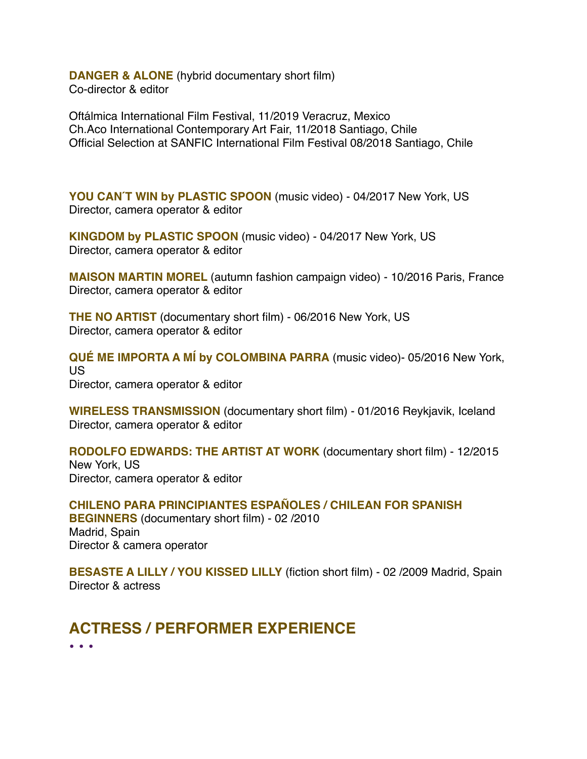**DANGER & ALONE** (hybrid documentary short film) Co-director & editor

Oftálmica International Film Festival, 11/2019 Veracruz, Mexico Ch.Aco International Contemporary Art Fair, 11/2018 Santiago, Chile Official Selection at SANFIC International Film Festival 08/2018 Santiago, Chile

**YOU CAN'T WIN by PLASTIC SPOON** (music video) - 04/2017 New York, US Director, camera operator & editor

**KINGDOM by PLASTIC SPOON** (music video) - 04/2017 New York, US Director, camera operator & editor

**MAISON MARTIN MOREL** (autumn fashion campaign video) - 10/2016 Paris, France Director, camera operator & editor

**THE NO ARTIST** (documentary short film) - 06/2016 New York, US Director, camera operator & editor

**QUÉ ME IMPORTA A MÍ by COLOMBINA PARRA** (music video)- 05/2016 New York, US Director, camera operator & editor

**WIRELESS TRANSMISSION** (documentary short film) - 01/2016 Reykjavik, Iceland Director, camera operator & editor

**RODOLFO EDWARDS: THE ARTIST AT WORK** (documentary short film) - 12/2015 New York, US Director, camera operator & editor

**CHILENO PARA PRINCIPIANTES ESPAÑOLES / CHILEAN FOR SPANISH BEGINNERS** (documentary short film) - 02 /2010 Madrid, Spain Director & camera operator

**BESASTE A LILLY / YOU KISSED LILLY** (fiction short film) - 02 /2009 Madrid, Spain Director & actress

## **ACTRESS / PERFORMER EXPERIENCE**

• • •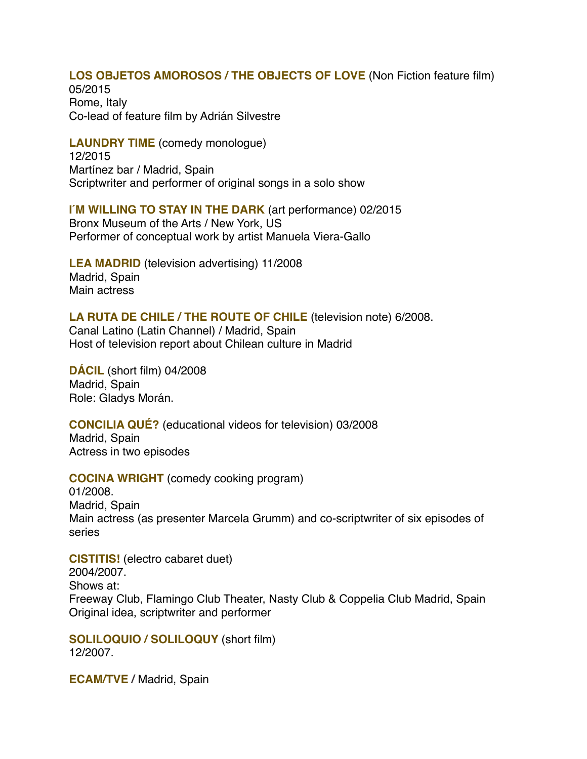#### **LOS OBJETOS AMOROSOS / THE OBJECTS OF LOVE** (Non Fiction feature film)

05/2015 Rome, Italy Co-lead of feature film by Adrián Silvestre

**LAUNDRY TIME** (comedy monologue) 12/2015 Martínez bar / Madrid, Spain Scriptwriter and performer of original songs in a solo show

**I'M WILLING TO STAY IN THE DARK** (art performance) 02/2015 Bronx Museum of the Arts / New York, US Performer of conceptual work by artist Manuela Viera-Gallo

**LEA MADRID** (television advertising) 11/2008 Madrid, Spain Main actress

#### **LA RUTA DE CHILE / THE ROUTE OF CHILE** (television note) 6/2008.

Canal Latino (Latin Channel) / Madrid, Spain Host of television report about Chilean culture in Madrid

**DÁCIL** (short film) 04/2008 Madrid, Spain Role: Gladys Morán.

**CONCILIA QUÉ?** (educational videos for television) 03/2008 Madrid, Spain Actress in two episodes

**COCINA WRIGHT** (comedy cooking program)

01/2008. Madrid, Spain Main actress (as presenter Marcela Grumm) and co-scriptwriter of six episodes of series

**CISTITIS!** (electro cabaret duet) 2004/2007. Shows at: Freeway Club, Flamingo Club Theater, Nasty Club & Coppelia Club Madrid, Spain Original idea, scriptwriter and performer

**SOLILOQUIO / SOLILOQUY** (short film) 12/2007.

**ECAM/TVE /** Madrid, Spain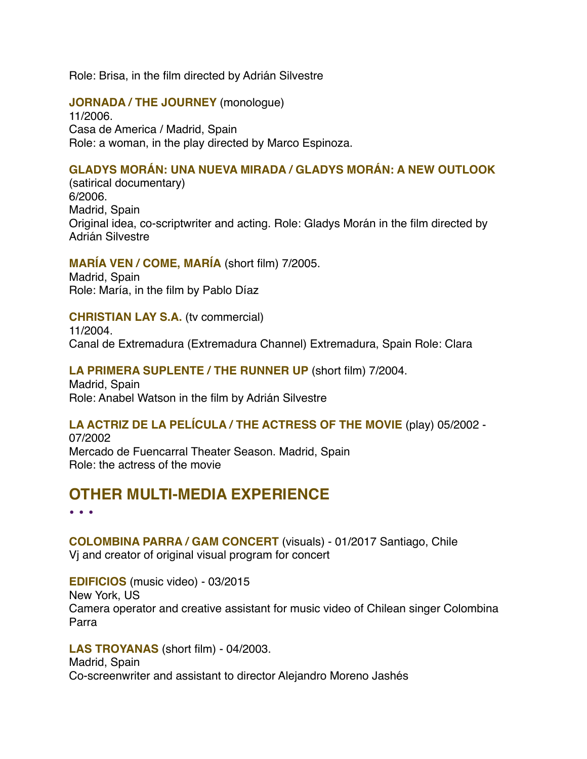Role: Brisa, in the film directed by Adrián Silvestre

#### **JORNADA / THE JOURNEY** (monologue)

11/2006. Casa de America / Madrid, Spain Role: a woman, in the play directed by Marco Espinoza.

### **GLADYS MORÁN: UNA NUEVA MIRADA / GLADYS MORÁN: A NEW OUTLOOK**

(satirical documentary) 6/2006. Madrid, Spain Original idea, co-scriptwriter and acting. Role: Gladys Morán in the film directed by Adrián Silvestre

### **MARÍA VEN / COME, MARÍA** (short film) 7/2005.

Madrid, Spain Role: María, in the film by Pablo Díaz

### **CHRISTIAN LAY S.A.** (tv commercial)

11/2004. Canal de Extremadura (Extremadura Channel) Extremadura, Spain Role: Clara

#### **LA PRIMERA SUPLENTE / THE RUNNER UP** (short film) 7/2004.

Madrid, Spain Role: Anabel Watson in the film by Adrián Silvestre

#### **LA ACTRIZ DE LA PELÍCULA / THE ACTRESS OF THE MOVIE** (play) 05/2002 -

07/2002 Mercado de Fuencarral Theater Season. Madrid, Spain Role: the actress of the movie

## **OTHER MULTI-MEDIA EXPERIENCE**

• • •

**COLOMBINA PARRA / GAM CONCERT** (visuals) - 01/2017 Santiago, Chile Vj and creator of original visual program for concert

**EDIFICIOS** (music video) - 03/2015 New York, US Camera operator and creative assistant for music video of Chilean singer Colombina Parra

#### **LAS TROYANAS** (short film) - 04/2003.

Madrid, Spain Co-screenwriter and assistant to director Alejandro Moreno Jashés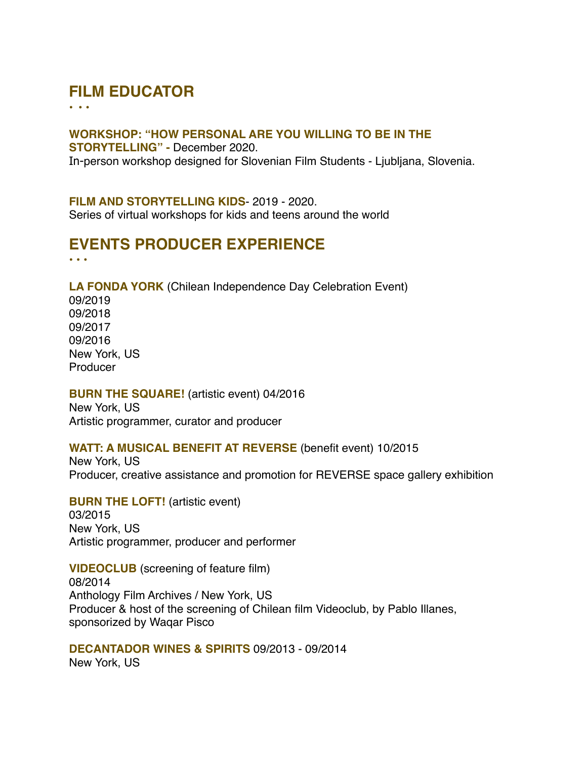# **FILM EDUCATOR**

• • •

#### **WORKSHOP: "HOW PERSONAL ARE YOU WILLING TO BE IN THE**

**STORYTELLING" -** December 2020. In-person workshop designed for Slovenian Film Students - Ljubljana, Slovenia.

#### **FILM AND STORYTELLING KIDS**- 2019 - 2020.

Series of virtual workshops for kids and teens around the world

#### **EVENTS PRODUCER EXPERIENCE** • • •

**LA FONDA YORK** (Chilean Independence Day Celebration Event) 09/2019 09/2018 09/2017 09/2016 New York, US Producer

#### **BURN THE SQUARE!** (artistic event) 04/2016

New York, US Artistic programmer, curator and producer

#### **WATT: A MUSICAL BENEFIT AT REVERSE** (benefit event) 10/2015

New York, US Producer, creative assistance and promotion for REVERSE space gallery exhibition

**BURN THE LOFT!** (artistic event) 03/2015 New York, US Artistic programmer, producer and performer

**VIDEOCLUB** (screening of feature film) 08/2014 Anthology Film Archives / New York, US Producer & host of the screening of Chilean film Videoclub, by Pablo Illanes, sponsorized by Waqar Pisco

**DECANTADOR WINES & SPIRITS** 09/2013 - 09/2014 New York, US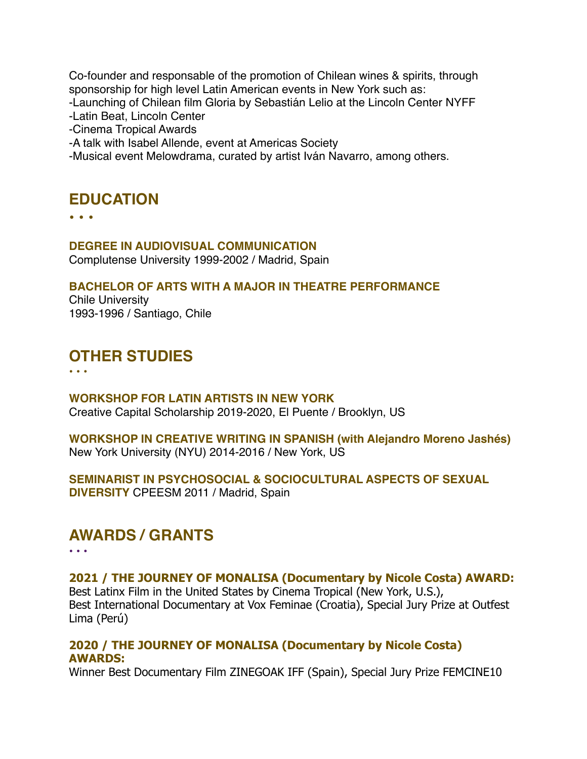Co-founder and responsable of the promotion of Chilean wines & spirits, through sponsorship for high level Latin American events in New York such as: -Launching of Chilean film Gloria by Sebastián Lelio at the Lincoln Center NYFF -Latin Beat, Lincoln Center -Cinema Tropical Awards

-A talk with Isabel Allende, event at Americas Society

-Musical event Melowdrama, curated by artist Iván Navarro, among others.

## **EDUCATION**

• • •

#### **DEGREE IN AUDIOVISUAL COMMUNICATION**

Complutense University 1999-2002 / Madrid, Spain

#### **BACHELOR OF ARTS WITH A MAJOR IN THEATRE PERFORMANCE**

Chile University 1993-1996 / Santiago, Chile

### **OTHER STUDIES**

**• • •**

**WORKSHOP FOR LATIN ARTISTS IN NEW YORK** Creative Capital Scholarship 2019-2020, El Puente / Brooklyn, US

**WORKSHOP IN CREATIVE WRITING IN SPANISH (with Alejandro Moreno Jashés)** New York University (NYU) 2014-2016 / New York, US

#### **SEMINARIST IN PSYCHOSOCIAL & SOCIOCULTURAL ASPECTS OF SEXUAL DIVERSITY** CPEESM 2011 / Madrid, Spain

### **AWARDS / GRANTS**

• • •

#### **2021 / THE JOURNEY OF MONALISA (Documentary by Nicole Costa) AWARD:** Best Latinx Film in the United States by Cinema Tropical (New York, U.S.), Best International Documentary at Vox Feminae (Croatia), Special Jury Prize at Outfest Lima (Perú)

### **2020 / THE JOURNEY OF MONALISA (Documentary by Nicole Costa) AWARDS:**

Winner Best Documentary Film ZINEGOAK IFF (Spain), Special Jury Prize FEMCINE10